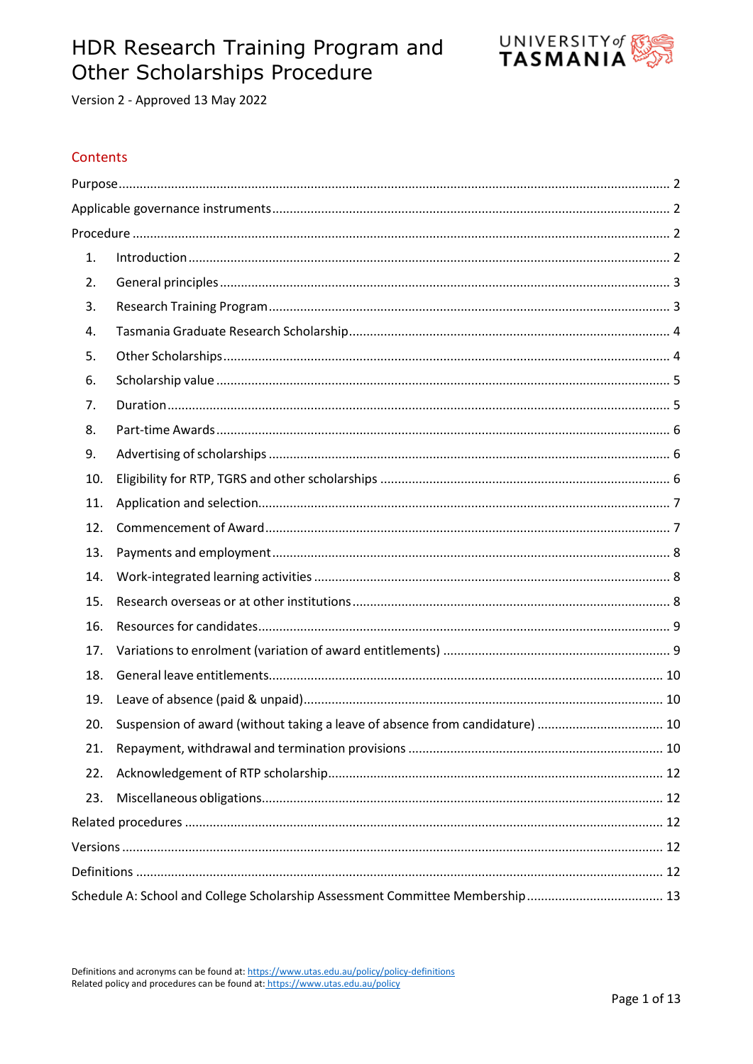# HDR Research Training Program and **Other Scholarships Procedure**



Version 2 - Approved 13 May 2022

# Contents

| 1.                                                                                  |  |
|-------------------------------------------------------------------------------------|--|
| 2.                                                                                  |  |
| 3.                                                                                  |  |
| 4.                                                                                  |  |
| 5.                                                                                  |  |
| 6.                                                                                  |  |
| 7.                                                                                  |  |
| 8.                                                                                  |  |
| 9.                                                                                  |  |
| 10.                                                                                 |  |
| 11.                                                                                 |  |
| 12.                                                                                 |  |
| 13.                                                                                 |  |
| 14.                                                                                 |  |
| 15.                                                                                 |  |
| 16.                                                                                 |  |
| 17.                                                                                 |  |
| 18.                                                                                 |  |
| 19.                                                                                 |  |
| Suspension of award (without taking a leave of absence from candidature)  10<br>20. |  |
| 21.                                                                                 |  |
| 22.                                                                                 |  |
| 23.                                                                                 |  |
|                                                                                     |  |
|                                                                                     |  |
|                                                                                     |  |
|                                                                                     |  |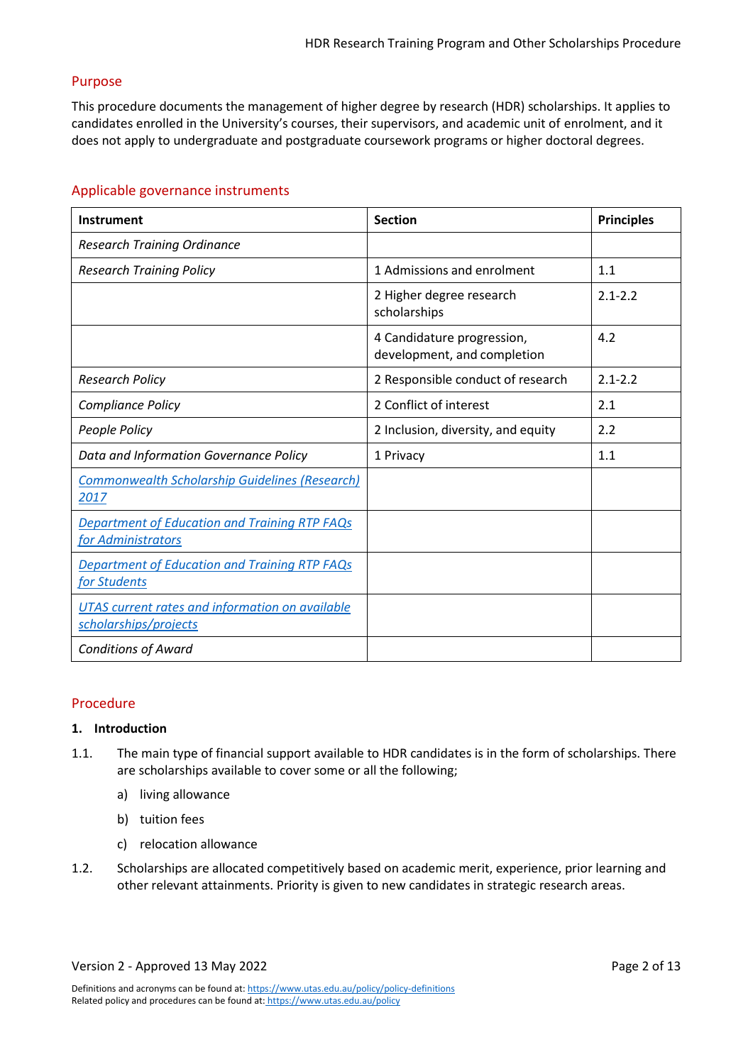# <span id="page-1-0"></span>Purpose

This procedure documents the management of higher degree by research (HDR) scholarships. It applies to candidates enrolled in the University's courses, their supervisors, and academic unit of enrolment, and it does not apply to undergraduate and postgraduate coursework programs or higher doctoral degrees.

# <span id="page-1-1"></span>Applicable governance instruments

| <b>Instrument</b>                                                          | <b>Section</b>                                            | <b>Principles</b> |
|----------------------------------------------------------------------------|-----------------------------------------------------------|-------------------|
| <b>Research Training Ordinance</b>                                         |                                                           |                   |
| <b>Research Training Policy</b>                                            | 1 Admissions and enrolment                                | 1.1               |
|                                                                            | 2 Higher degree research<br>scholarships                  | $2.1 - 2.2$       |
|                                                                            | 4 Candidature progression,<br>development, and completion | 4.2               |
| <b>Research Policy</b>                                                     | 2 Responsible conduct of research                         | $2.1 - 2.2$       |
| Compliance Policy                                                          | 2 Conflict of interest                                    | 2.1               |
| People Policy                                                              | 2 Inclusion, diversity, and equity                        | 2.2               |
| Data and Information Governance Policy                                     | 1 Privacy                                                 | 1.1               |
| <b>Commonwealth Scholarship Guidelines (Research)</b><br>2017              |                                                           |                   |
| <b>Department of Education and Training RTP FAQs</b><br>for Administrators |                                                           |                   |
| <b>Department of Education and Training RTP FAQs</b><br>for Students       |                                                           |                   |
| UTAS current rates and information on available<br>scholarships/projects   |                                                           |                   |
| <b>Conditions of Award</b>                                                 |                                                           |                   |

# <span id="page-1-2"></span>Procedure

# <span id="page-1-3"></span>**1. Introduction**

- 1.1. The main type of financial support available to HDR candidates is in the form of scholarships. There are scholarships available to cover some or all the following;
	- a) living allowance
	- b) tuition fees
	- c) relocation allowance
- 1.2. Scholarships are allocated competitively based on academic merit, experience, prior learning and other relevant attainments. Priority is given to new candidates in strategic research areas.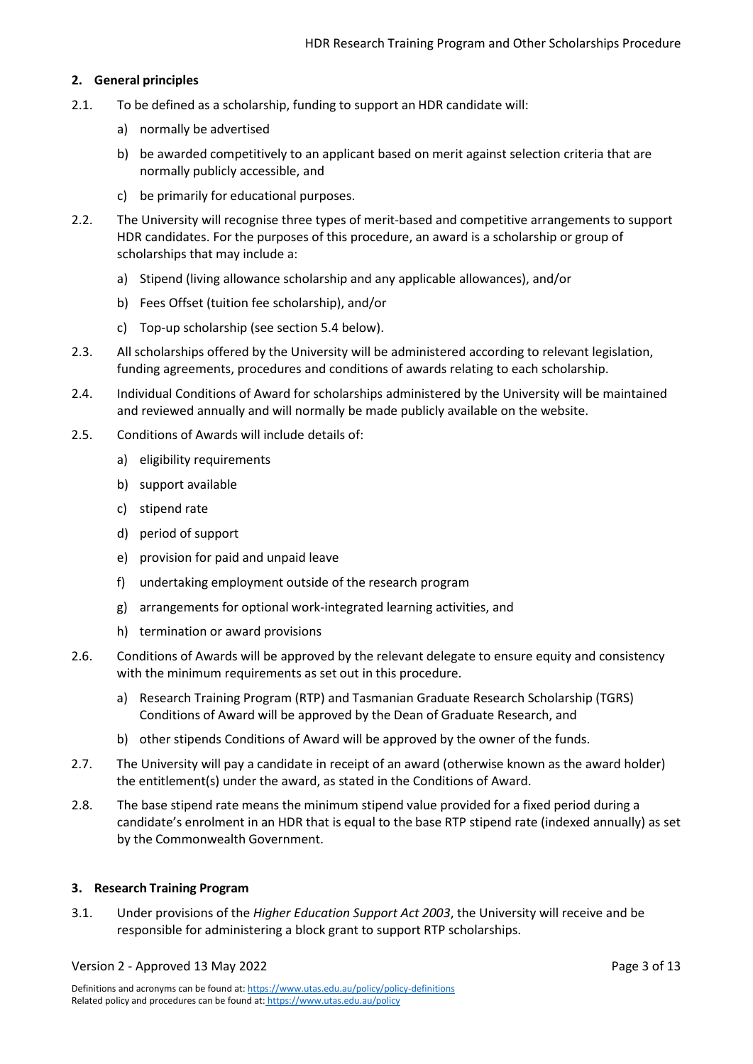# <span id="page-2-0"></span>**2. General principles**

- 2.1. To be defined as a scholarship, funding to support an HDR candidate will:
	- a) normally be advertised
	- b) be awarded competitively to an applicant based on merit against selection criteria that are normally publicly accessible, and
	- c) be primarily for educational purposes.
- 2.2. The University will recognise three types of merit-based and competitive arrangements to support HDR candidates. For the purposes of this procedure, an award is a scholarship or group of scholarships that may include a:
	- a) Stipend (living allowance scholarship and any applicable allowances), and/or
	- b) Fees Offset (tuition fee scholarship), and/or
	- c) Top-up scholarship (see section [5.4](#page-3-2) below).
- <span id="page-2-2"></span>2.3. All scholarships offered by the University will be administered according to relevant legislation, funding agreements, procedures and conditions of awards relating to each scholarship.
- 2.4. Individual Conditions of Award for scholarships administered by the University will be maintained and reviewed annually and will normally be made publicly available on the website.
- 2.5. Conditions of Awards will include details of:
	- a) eligibility requirements
	- b) support available
	- c) stipend rate
	- d) period of support
	- e) provision for paid and unpaid leave
	- f) undertaking employment outside of the research program
	- g) arrangements for optional work-integrated learning activities, and
	- h) termination or award provisions
- 2.6. Conditions of Awards will be approved by the relevant delegate to ensure equity and consistency with the minimum requirements as set out in this procedure.
	- a) Research Training Program (RTP) and Tasmanian Graduate Research Scholarship (TGRS) Conditions of Award will be approved by the Dean of Graduate Research, and
	- b) other stipends Conditions of Award will be approved by the owner of the funds.
- 2.7. The University will pay a candidate in receipt of an award (otherwise known as the award holder) the entitlement(s) under the award, as stated in the Conditions of Award.
- 2.8. The base stipend rate means the minimum stipend value provided for a fixed period during a candidate's enrolment in an HDR that is equal to the base RTP stipend rate (indexed annually) as set by the Commonwealth Government.

# <span id="page-2-1"></span>**3. Research Training Program**

3.1. Under provisions of the *Higher Education Support Act 2003*, the University will receive and be responsible for administering a block grant to support RTP scholarships.

Version 2 - Approved 13 May 2022 **Page 3 of 13**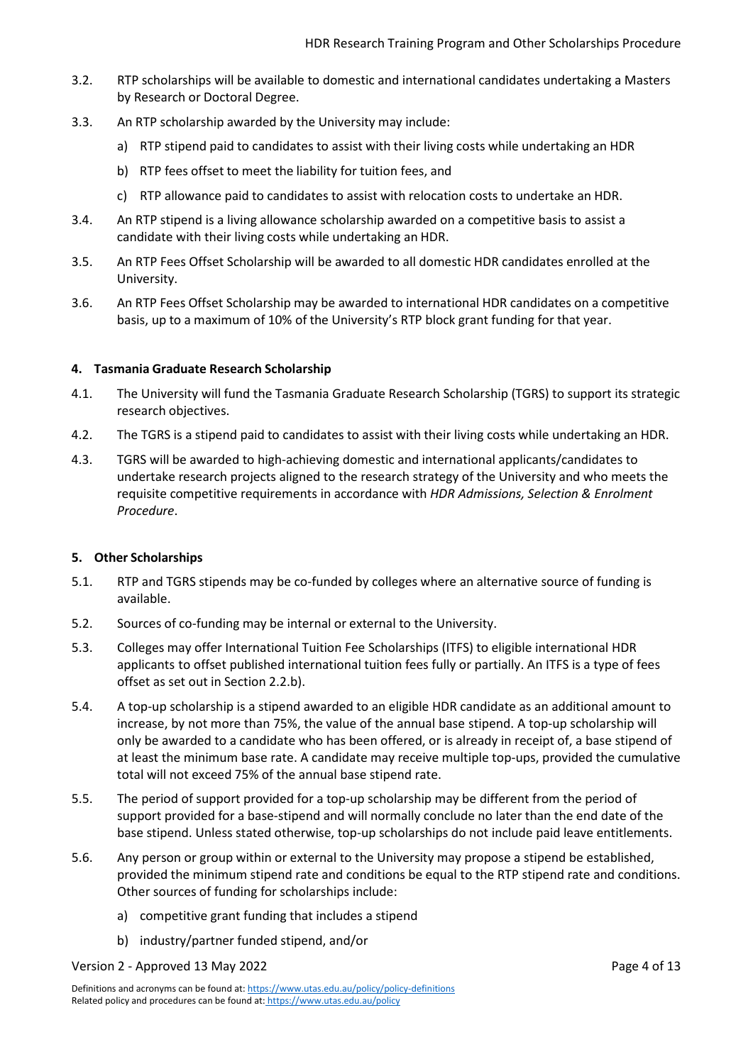- 3.2. RTP scholarships will be available to domestic and international candidates undertaking a Masters by Research or Doctoral Degree.
- 3.3. An RTP scholarship awarded by the University may include:
	- a) RTP stipend paid to candidates to assist with their living costs while undertaking an HDR
	- b) RTP fees offset to meet the liability for tuition fees, and
	- c) RTP allowance paid to candidates to assist with relocation costs to undertake an HDR.
- 3.4. An RTP stipend is a living allowance scholarship awarded on a competitive basis to assist a candidate with their living costs while undertaking an HDR.
- 3.5. An RTP Fees Offset Scholarship will be awarded to all domestic HDR candidates enrolled at the University.
- 3.6. An RTP Fees Offset Scholarship may be awarded to international HDR candidates on a competitive basis, up to a maximum of 10% of the University's RTP block grant funding for that year.

# <span id="page-3-0"></span>**4. Tasmania Graduate Research Scholarship**

- 4.1. The University will fund the Tasmania Graduate Research Scholarship (TGRS) to support its strategic research objectives.
- 4.2. The TGRS is a stipend paid to candidates to assist with their living costs while undertaking an HDR.
- 4.3. TGRS will be awarded to high-achieving domestic and international applicants/candidates to undertake research projects aligned to the research strategy of the University and who meets the requisite competitive requirements in accordance with *HDR Admissions, Selection & Enrolment Procedure*.

# <span id="page-3-1"></span>**5. Other Scholarships**

- 5.1. RTP and TGRS stipends may be co-funded by colleges where an alternative source of funding is available.
- 5.2. Sources of co-funding may be internal or external to the University.
- 5.3. Colleges may offer International Tuition Fee Scholarships (ITFS) to eligible international HDR applicants to offset published international tuition fees fully or partially. An ITFS is a type of fees offset as set out in Section [2.2.b\).](#page-2-2)
- <span id="page-3-2"></span>5.4. A top-up scholarship is a stipend awarded to an eligible HDR candidate as an additional amount to increase, by not more than 75%, the value of the annual base stipend. A top-up scholarship will only be awarded to a candidate who has been offered, or is already in receipt of, a base stipend of at least the minimum base rate. A candidate may receive multiple top-ups, provided the cumulative total will not exceed 75% of the annual base stipend rate.
- 5.5. The period of support provided for a top-up scholarship may be different from the period of support provided for a base-stipend and will normally conclude no later than the end date of the base stipend. Unless stated otherwise, top-up scholarships do not include paid leave entitlements.
- 5.6. Any person or group within or external to the University may propose a stipend be established, provided the minimum stipend rate and conditions be equal to the RTP stipend rate and conditions. Other sources of funding for scholarships include:
	- a) competitive grant funding that includes a stipend
	- b) industry/partner funded stipend, and/or

Version 2 - Approved 13 May 2022 **Page 4 of 13**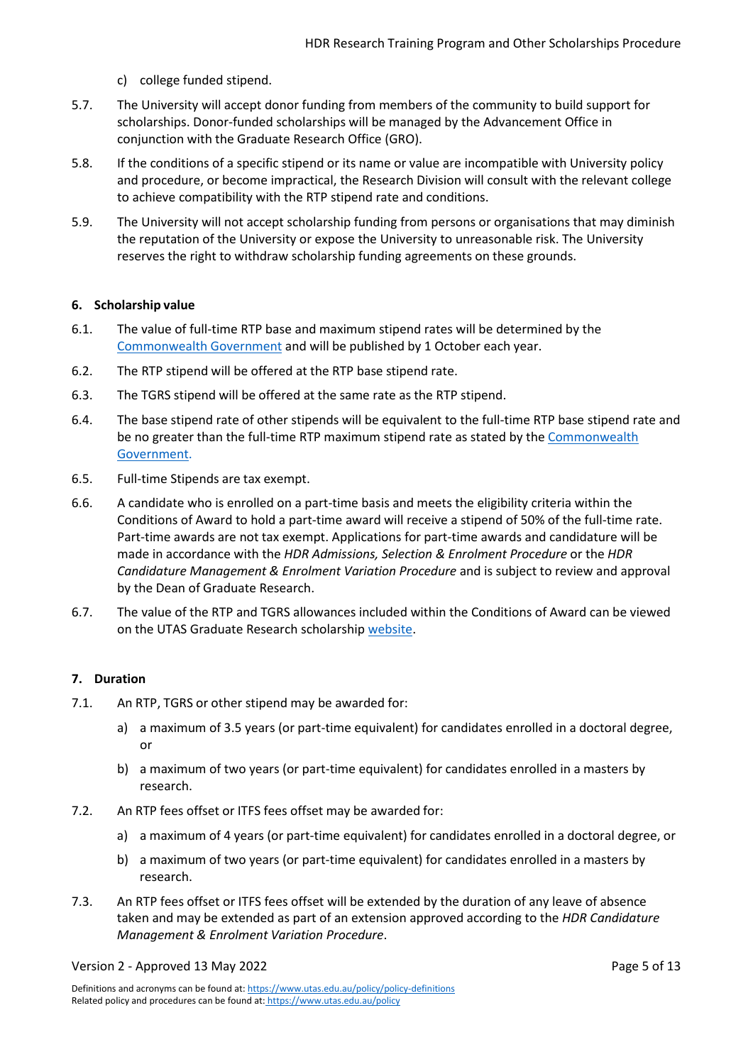- c) college funded stipend.
- 5.7. The University will accept donor funding from members of the community to build support for scholarships. Donor-funded scholarships will be managed by the Advancement Office in conjunction with the Graduate Research Office (GRO).
- 5.8. If the conditions of a specific stipend or its name or value are incompatible with University policy and procedure, or become impractical, the Research Division will consult with the relevant college to achieve compatibility with the RTP stipend rate and conditions.
- 5.9. The University will not accept scholarship funding from persons or organisations that may diminish the reputation of the University or expose the University to unreasonable risk. The University reserves the right to withdraw scholarship funding agreements on these grounds.

# <span id="page-4-0"></span>**6. Scholarship value**

- 6.1. The value of full-time RTP base and maximum stipend rates will be determined by the [Commonwealth](https://www.dese.gov.au/research-block-grants/research-training-program) Government and will be published by 1 October each year.
- 6.2. The RTP stipend will be offered at the RTP base stipend rate.
- 6.3. The TGRS stipend will be offered at the same rate as the RTP stipend.
- 6.4. The base stipend rate of other stipends will be equivalent to the full-time RTP base stipend rate and be no greater than the full-time RTP maximum stipend rate as stated by the [Commonwealth](https://www.dese.gov.au/research-block-grants/research-training-program)  [Government.](https://www.dese.gov.au/research-block-grants/research-training-program)
- 6.5. Full-time Stipends are tax exempt.
- 6.6. A candidate who is enrolled on a part-time basis and meets the eligibility criteria within the Conditions of Award to hold a part-time award will receive a stipend of 50% of the full-time rate. Part-time awards are not tax exempt. Applications for part-time awards and candidature will be made in accordance with the *HDR Admissions, Selection & Enrolment Procedure* or the *HDR Candidature Management & Enrolment Variation Procedure* and is subject to review and approval by the Dean of Graduate Research.
- 6.7. The value of the RTP and TGRS allowances included within the Conditions of Award can be viewed on the UTAS Graduate Research scholarship [website.](https://www.utas.edu.au/our-research/research-degrees/scholarships-and-fees)

# <span id="page-4-1"></span>**7. Duration**

- 7.1. An RTP, TGRS or other stipend may be awarded for:
	- a) a maximum of 3.5 years (or part-time equivalent) for candidates enrolled in a doctoral degree, or
	- b) a maximum of two years (or part-time equivalent) for candidates enrolled in a masters by research.
- 7.2. An RTP fees offset or ITFS fees offset may be awarded for:
	- a) a maximum of 4 years (or part-time equivalent) for candidates enrolled in a doctoral degree, or
	- b) a maximum of two years (or part-time equivalent) for candidates enrolled in a masters by research.
- 7.3. An RTP fees offset or ITFS fees offset will be extended by the duration of any leave of absence taken and may be extended as part of an extension approved according to the *HDR Candidature Management & Enrolment Variation Procedure*.

#### Version 2 - Approved 13 May 2022 **Page 5 of 13**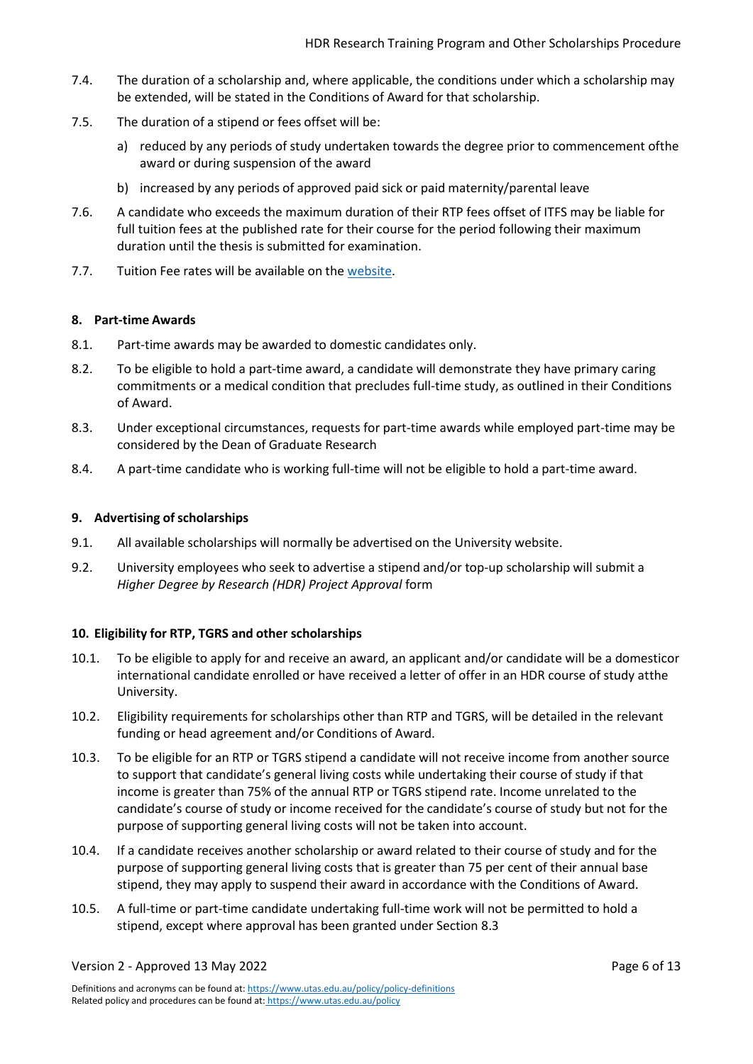- 7.4. The duration of a scholarship and, where applicable, the conditions under which a scholarship may be extended, will be stated in the Conditions of Award for that scholarship.
- 7.5. The duration of a stipend or fees offset will be:
	- a) reduced by any periods of study undertaken towards the degree prior to commencement ofthe award or during suspension of the award
	- b) increased by any periods of approved paid sick or paid maternity/parental leave
- 7.6. A candidate who exceeds the maximum duration of their RTP fees offset of ITFS may be liable for full tuition fees at the published rate for their course for the period following their maximum duration until the thesis is submitted for examination.
- 7.7. Tuition Fee rates will be available on the [website.](https://www.utas.edu.au/research/degrees/costs)

# <span id="page-5-0"></span>**8. Part-time Awards**

- 8.1. Part-time awards may be awarded to domestic candidates only.
- 8.2. To be eligible to hold a part-time award, a candidate will demonstrate they have primary caring commitments or a medical condition that precludes full-time study, as outlined in their Conditions of Award.
- <span id="page-5-3"></span>8.3. Under exceptional circumstances, requests for part-time awards while employed part-time may be considered by the Dean of Graduate Research
- 8.4. A part-time candidate who is working full-time will not be eligible to hold a part-time award.

# <span id="page-5-1"></span>**9.** Advertising of scholarships

- 9.1. All available scholarships will normally be advertised on the University website.
- 9.2. University employees who seek to advertise a stipend and/or top-up scholarship will submit a *Higher Degree by Research (HDR) Project Approval* form

# <span id="page-5-2"></span>**10. Eligibility for RTP, TGRS and other scholarships**

- 10.1. To be eligible to apply for and receive an award, an applicant and/or candidate will be a domesticor international candidate enrolled or have received a letter of offer in an HDR course of study atthe University.
- 10.2. Eligibility requirements for scholarships other than RTP and TGRS, will be detailed in the relevant funding or head agreement and/or Conditions of Award.
- <span id="page-5-4"></span>10.3. To be eligible for an RTP or TGRS stipend a candidate will not receive income from another source to support that candidate's general living costs while undertaking their course of study if that income is greater than 75% of the annual RTP or TGRS stipend rate. Income unrelated to the candidate's course of study or income received for the candidate's course of study but not for the purpose of supporting general living costs will not be taken into account.
- 10.4. If a candidate receives another scholarship or award related to their course of study and for the purpose of supporting general living costs that is greater than 75 per cent of their annual base stipend, they may apply to suspend their award in accordance with the Conditions of Award.
- 10.5. A full-time or part-time candidate undertaking full-time work will not be permitted to hold a stipend, except where approval has been granted under Section [8.3](#page-5-3)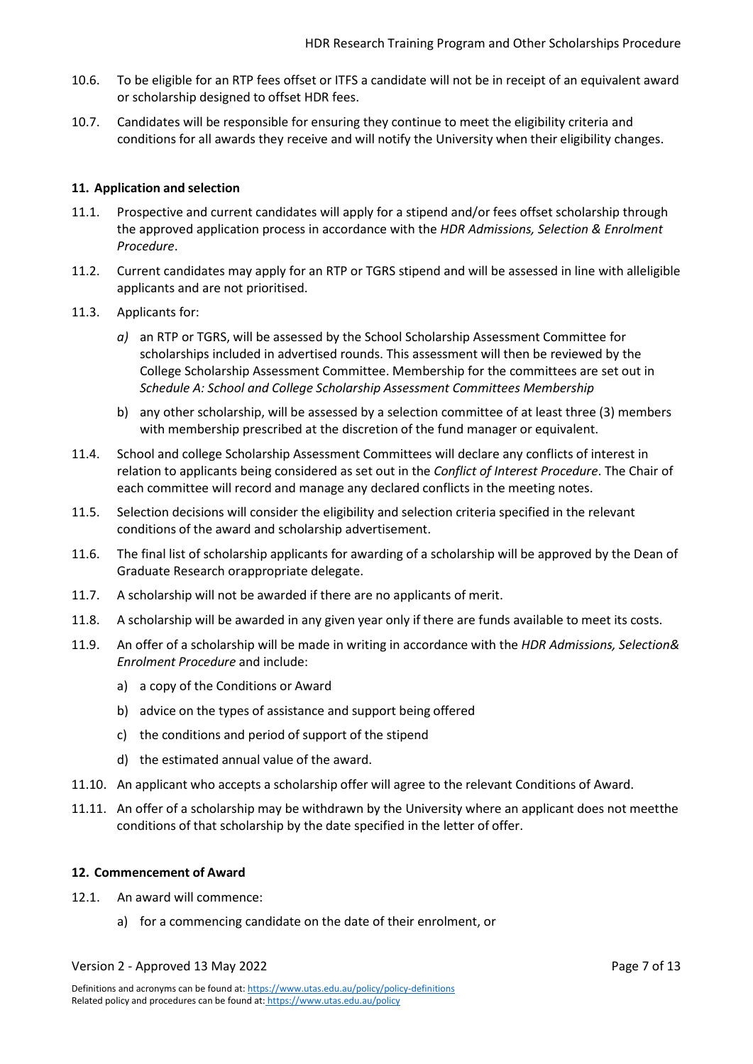- 10.6. To be eligible for an RTP fees offset or ITFS a candidate will not be in receipt of an equivalent award or scholarship designed to offset HDR fees.
- 10.7. Candidates will be responsible for ensuring they continue to meet the eligibility criteria and conditions for all awards they receive and will notify the University when their eligibility changes.

## <span id="page-6-0"></span>**11. Application and selection**

- 11.1. Prospective and current candidates will apply for a stipend and/or fees offset scholarship through the approved application process in accordance with the *HDR Admissions, Selection & Enrolment Procedure*.
- 11.2. Current candidates may apply for an RTP or TGRS stipend and will be assessed in line with alleligible applicants and are not prioritised.
- 11.3. Applicants for:
	- *a)* an RTP or TGRS, will be assessed by the School Scholarship Assessment Committee for scholarships included in advertised rounds. This assessment will then be reviewed by the College Scholarship Assessment Committee. Membership for the committees are set out in *Schedule A: School and College Scholarship Assessment Committees Membership*
	- b) any other scholarship, will be assessed by a selection committee of at least three (3) members with membership prescribed at the discretion of the fund manager or equivalent.
- 11.4. School and college Scholarship Assessment Committees will declare any conflicts of interest in relation to applicants being considered as set out in the *Conflict of Interest Procedure*. The Chair of each committee will record and manage any declared conflicts in the meeting notes.
- 11.5. Selection decisions will consider the eligibility and selection criteria specified in the relevant conditions of the award and scholarship advertisement.
- 11.6. The final list of scholarship applicants for awarding of a scholarship will be approved by the Dean of Graduate Research or appropriate delegate.
- 11.7. A scholarship will not be awarded if there are no applicants of merit.
- 11.8. A scholarship will be awarded in any given year only if there are funds available to meet its costs.
- 11.9. An offer of a scholarship will be made in writing in accordance with the *HDR Admissions, Selection& Enrolment Procedure* and include:
	- a) a copy of the Conditions or Award
	- b) advice on the types of assistance and support being offered
	- c) the conditions and period of support of the stipend
	- d) the estimated annual value of the award.
- 11.10. An applicant who accepts a scholarship offer will agree to the relevant Conditions of Award.
- 11.11. An offer of a scholarship may be withdrawn by the University where an applicant does not meetthe conditions of that scholarship by the date specified in the letter of offer.

#### <span id="page-6-1"></span>**12. Commencement of Award**

- 12.1. An award will commence:
	- a) for a commencing candidate on the date of their enrolment, or

#### Version 2 - Approved 13 May 2022 **Page 7 of 13**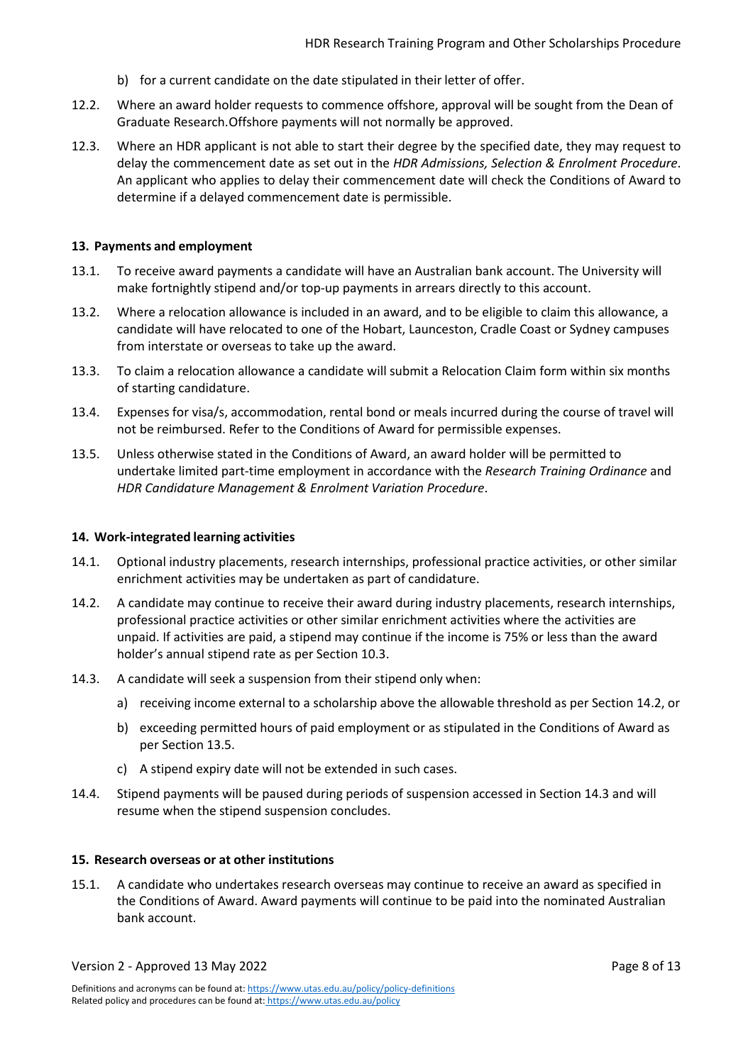- b) for a current candidate on the date stipulated in their letter of offer.
- 12.2. Where an award holder requests to commence offshore, approval will be sought from the Dean of Graduate Research.Offshore payments will not normally be approved.
- 12.3. Where an HDR applicant is not able to start their degree by the specified date, they may request to delay the commencement date as set out in the *HDR Admissions, Selection & Enrolment Procedure*. An applicant who applies to delay their commencement date will check the Conditions of Award to determine if a delayed commencement date is permissible.

#### <span id="page-7-0"></span>**13. Payments and employment**

- 13.1. To receive award payments a candidate will have an Australian bank account. The University will make fortnightly stipend and/or top-up payments in arrears directly to this account.
- 13.2. Where a relocation allowance is included in an award, and to be eligible to claim this allowance, a candidate will have relocated to one of the Hobart, Launceston, Cradle Coast or Sydney campuses from interstate or overseas to take up the award.
- 13.3. To claim a relocation allowance a candidate will submit a [Relocation Claim f](https://utas1.service-now.com/selfservice?id=sc_cat_item&sys_id=7b1eee9edb41af803fb964a14a961988)orm within six months of starting candidature.
- 13.4. Expenses for visa/s, accommodation, rental bond or meals incurred during the course of travel will not be reimbursed. Refer to the Conditions of Award for permissible expenses.
- <span id="page-7-4"></span>13.5. Unless otherwise stated in the Conditions of Award, an award holder will be permitted to undertake limited part-time employment in accordance with the *Research Training Ordinance* and *HDR Candidature Management & Enrolment Variation Procedure*.

### <span id="page-7-1"></span>**14. Work-integrated learning activities**

- 14.1. Optional industry placements, research internships, professional practice activities, or other similar enrichment activities may be undertaken as part of candidature.
- <span id="page-7-3"></span>14.2. A candidate may continue to receive their award during industry placements, research internships, professional practice activities or other similar enrichment activities where the activities are unpaid. If activities are paid, a stipend may continue if the income is 75% or less than the award holder's annual stipend rate as per Section [10.3.](#page-5-4)
- <span id="page-7-5"></span>14.3. A candidate will seek a suspension from their stipend only when:
	- a) receiving income external to a scholarship above the allowable threshold as per Section [14.2,](#page-7-3) or
	- b) exceeding permitted hours of paid employment or as stipulated in the Conditions of Award as per Section [13.5.](#page-7-4)
	- c) A stipend expiry date will not be extended in such cases.
- 14.4. Stipend payments will be paused during periods of suspension accessed in Section [14.3 a](#page-7-5)nd will resume when the stipend suspension concludes.

### <span id="page-7-2"></span>**15. Research overseas or at other institutions**

15.1. A candidate who undertakes research overseas may continue to receive an award as specified in the Conditions of Award. Award payments will continue to be paid into the nominated Australian bank account.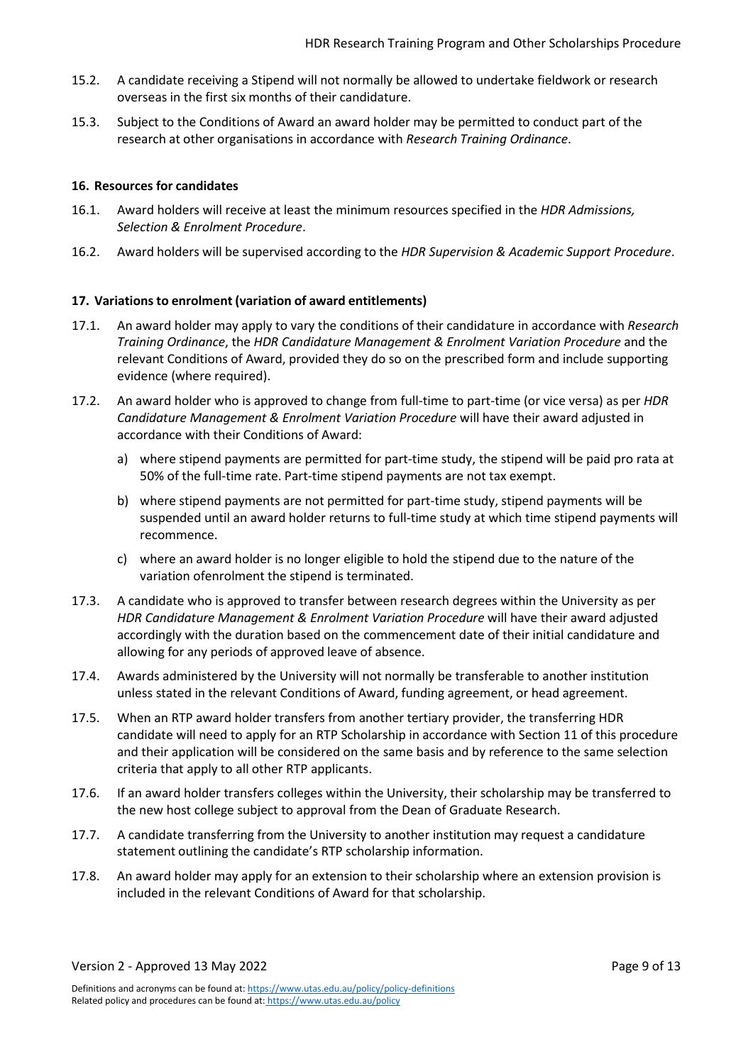- 15.2. A candidate receiving a Stipend will not normally be allowed to undertake fieldwork or research overseas in the first six months of their candidature.
- 15.3. Subject to the Conditions of Award an award holder may be permitted to conduct part of the research at other organisations in accordance with *Research Training Ordinance*.

## <span id="page-8-0"></span>**16. Resources for candidates**

- 16.1. Award holders will receive at least the minimum resources specified in the *HDR Admissions, Selection & Enrolment Procedure*.
- 16.2. Award holders will be supervised according to the *HDR Supervision & Academic Support Procedure*.

## <span id="page-8-1"></span>**17. Variations to enrolment (variation of award entitlements)**

- 17.1. An award holder may apply to vary the conditions of their candidature in accordance with *Research Training Ordinance*, the *HDR Candidature Management & Enrolment Variation Procedure* and the relevant Conditions of Award, provided they do so on the prescribed form and include supporting evidence (where required).
- 17.2. An award holder who is approved to change from full-time to part-time (or vice versa) as per *HDR Candidature Management & Enrolment Variation Procedure* will have their award adjusted in accordance with their Conditions of Award:
	- a) where stipend payments are permitted for part-time study, the stipend will be paid pro rata at 50% of the full-time rate. Part-time stipend payments are not tax exempt.
	- b) where stipend payments are not permitted for part-time study, stipend payments will be suspended until an award holder returns to full-time study at which time stipend payments will recommence.
	- c) where an award holder is no longer eligible to hold the stipend due to the nature of the variation ofenrolment the stipend is terminated.
- 17.3. A candidate who is approved to transfer between research degrees within the University as per *HDR Candidature Management & Enrolment Variation Procedure* will have their award adjusted accordingly with the duration based on the commencement date of their initial candidature and allowing for any periods of approved leave of absence.
- 17.4. Awards administered by the University will not normally be transferable to another institution unless stated in the relevant Conditions of Award, funding agreement, or head agreement.
- 17.5. When an RTP award holder transfers from another tertiary provider, the transferring HDR candidate will need to apply for an RTP Scholarship in accordance with Sectio[n 11](#page-6-0) of this procedure and their application will be considered on the same basis and by reference to the same selection criteria that apply to all other RTP applicants.
- 17.6. If an award holder transfers colleges within the University, their scholarship may be transferred to the new host college subject to approval from the Dean of Graduate Research.
- 17.7. A candidate transferring from the University to another institution may request a candidature statement outlining the candidate's RTP scholarship information.
- 17.8. An award holder may apply for an extension to their scholarship where an extension provision is included in the relevant Conditions of Award for that scholarship.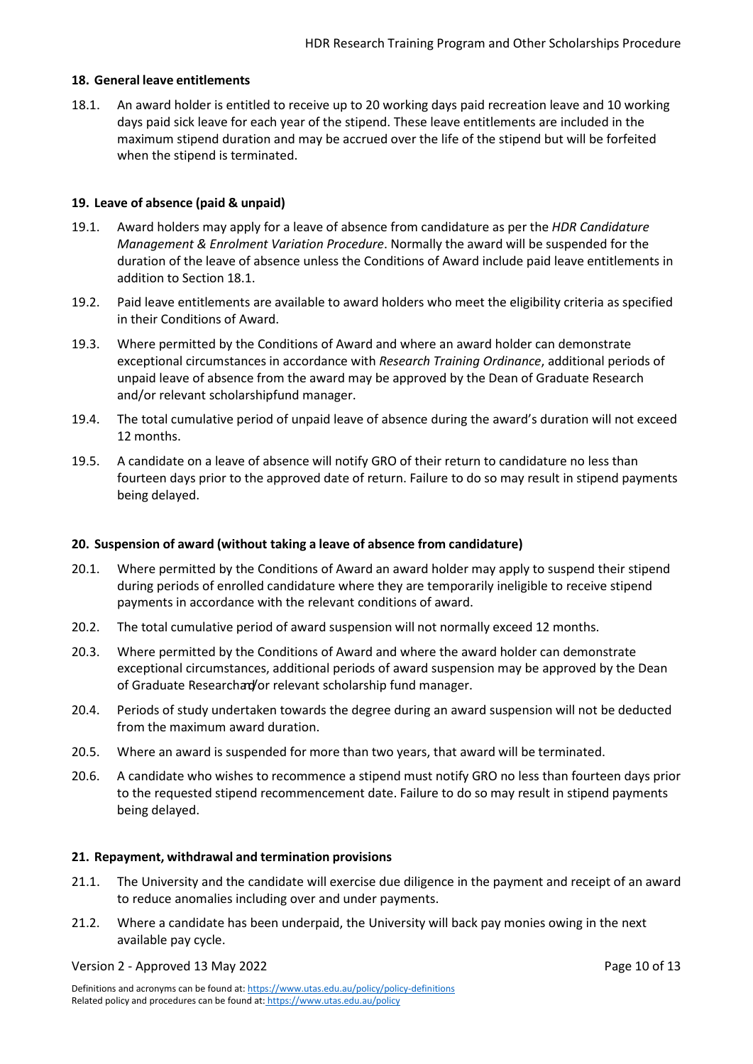## <span id="page-9-0"></span>**18. General leave entitlements**

<span id="page-9-4"></span>18.1. An award holder is entitled to receive up to 20 working days paid recreation leave and 10 working days paid sick leave for each year of the stipend. These leave entitlements are included in the maximum stipend duration and may be accrued over the life of the stipend but will be forfeited when the stipend is terminated.

## <span id="page-9-1"></span>**19. Leave of absence (paid & unpaid)**

- 19.1. Award holders may apply for a leave of absence from candidature as per the *HDR Candidature Management & Enrolment Variation Procedure*. Normally the award will be suspended for the duration of the leave of absence unless the Conditions of Award include paid leave entitlements in addition to Section [18.1.](#page-9-4)
- 19.2. Paid leave entitlements are available to award holders who meet the eligibility criteria as specified in their Conditions of Award.
- 19.3. Where permitted by the Conditions of Award and where an award holder can demonstrate exceptional circumstances in accordance with *Research Training Ordinance*, additional periods of unpaid leave of absence from the award may be approved by the Dean of Graduate Research and/or relevant scholarshipfund manager.
- 19.4. The total cumulative period of unpaid leave of absence during the award's duration will not exceed 12 months.
- 19.5. A candidate on a leave of absence will notify GRO of their return to candidature no less than fourteen days prior to the approved date of return. Failure to do so may result in stipend payments being delayed.

#### <span id="page-9-2"></span>**20. Suspension of award (without taking a leave of absence from candidature)**

- 20.1. Where permitted by the Conditions of Award an award holder may apply to suspend their stipend during periods of enrolled candidature where they are temporarily ineligible to receive stipend payments in accordance with the relevant conditions of award.
- 20.2. The total cumulative period of award suspension will not normally exceed 12 months.
- 20.3. Where permitted by the Conditions of Award and where the award holder can demonstrate exceptional circumstances, additional periods of award suspension may be approved by the Dean of Graduate Researchan/or relevant scholarship fund manager.
- 20.4. Periods of study undertaken towards the degree during an award suspension will not be deducted from the maximum award duration.
- 20.5. Where an award is suspended for more than two years, that award will be terminated.
- 20.6. A candidate who wishes to recommence a stipend must notify GRO no less than fourteen days prior to the requested stipend recommencement date. Failure to do so may result in stipend payments being delayed.

#### <span id="page-9-3"></span>**21. Repayment, withdrawal and termination provisions**

- 21.1. The University and the candidate will exercise due diligence in the payment and receipt of an award to reduce anomalies including over and under payments.
- 21.2. Where a candidate has been underpaid, the University will back pay monies owing in the next available pay cycle.

#### Version 2 - Approved 13 May 2022 **Page 10 of 13** November 2012 12:00 Page 10 of 13

Definitions and acronyms can be found at[: https://www.utas.edu.au/policy/policy-definitions](https://www.utas.edu.au/policy/policy-definitions) Related policy and procedures can be found at: <https://www.utas.edu.au/policy>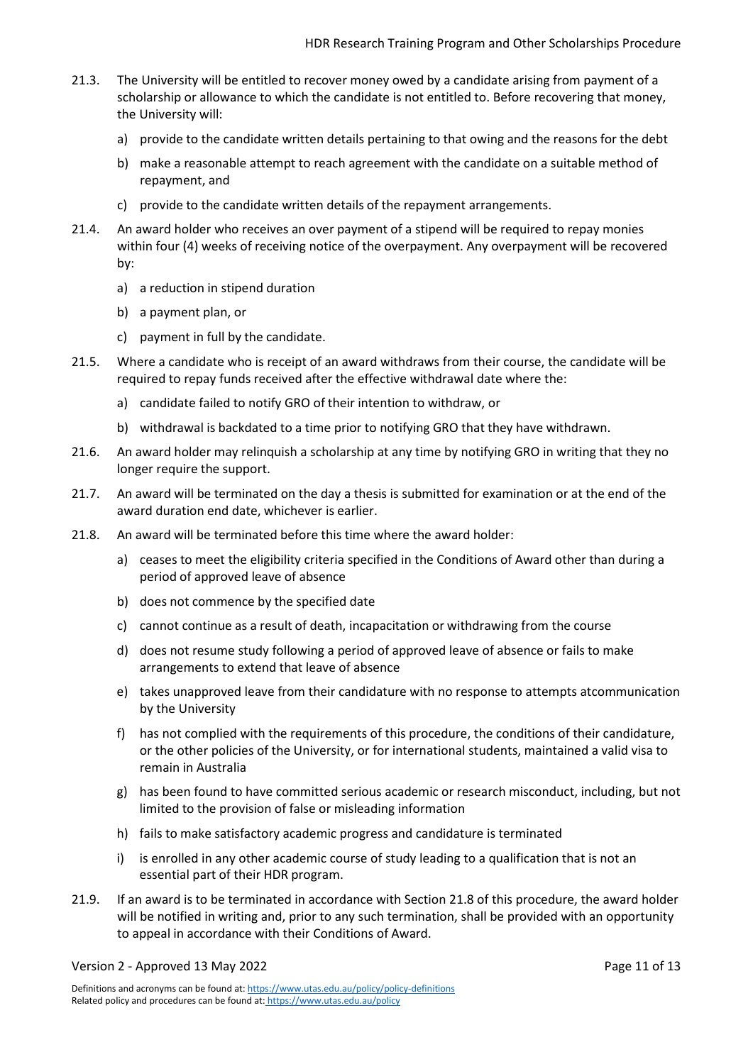- 21.3. The University will be entitled to recover money owed by a candidate arising from payment of a scholarship or allowance to which the candidate is not entitled to. Before recovering that money, the University will:
	- a) provide to the candidate written details pertaining to that owing and the reasons for the debt
	- b) make a reasonable attempt to reach agreement with the candidate on a suitable method of repayment, and
	- c) provide to the candidate written details of the repayment arrangements.
- 21.4. An award holder who receives an over payment of a stipend will be required to repay monies within four (4) weeks of receiving notice of the overpayment. Any overpayment will be recovered by:
	- a) a reduction in stipend duration
	- b) a payment plan, or
	- c) payment in full by the candidate.
- 21.5. Where a candidate who is receipt of an award withdraws from their course, the candidate will be required to repay funds received after the effective withdrawal date where the:
	- a) candidate failed to notify GRO of their intention to withdraw, or
	- b) withdrawal is backdated to a time prior to notifying GRO that they have withdrawn.
- 21.6. An award holder may relinquish a scholarship at any time by notifying GRO in writing that they no longer require the support.
- 21.7. An award will be terminated on the day a thesis is submitted for examination or at the end of the award duration end date, whichever is earlier.
- <span id="page-10-0"></span>21.8. An award will be terminated before this time where the award holder:
	- a) ceases to meet the eligibility criteria specified in the Conditions of Award other than during a period of approved leave of absence
	- b) does not commence by the specified date
	- c) cannot continue as a result of death, incapacitation or withdrawing from the course
	- d) does not resume study following a period of approved leave of absence or fails to make arrangements to extend that leave of absence
	- e) takes unapproved leave from their candidature with no response to attempts atcommunication by the University
	- f) has not complied with the requirements of this procedure, the conditions of their candidature, or the other policies of the University, or for international students, maintained a valid visa to remain in Australia
	- g) has been found to have committed serious academic or research misconduct, including, but not limited to the provision of false or misleading information
	- h) fails to make satisfactory academic progress and candidature is terminated
	- i) is enrolled in any other academic course of study leading to a qualification that is not an essential part of their HDR program.
- 21.9. If an award is to be terminated in accordance with Section [21.8](#page-10-0) of this procedure, the award holder will be notified in writing and, prior to any such termination, shall be provided with an opportunity to appeal in accordance with their Conditions of Award.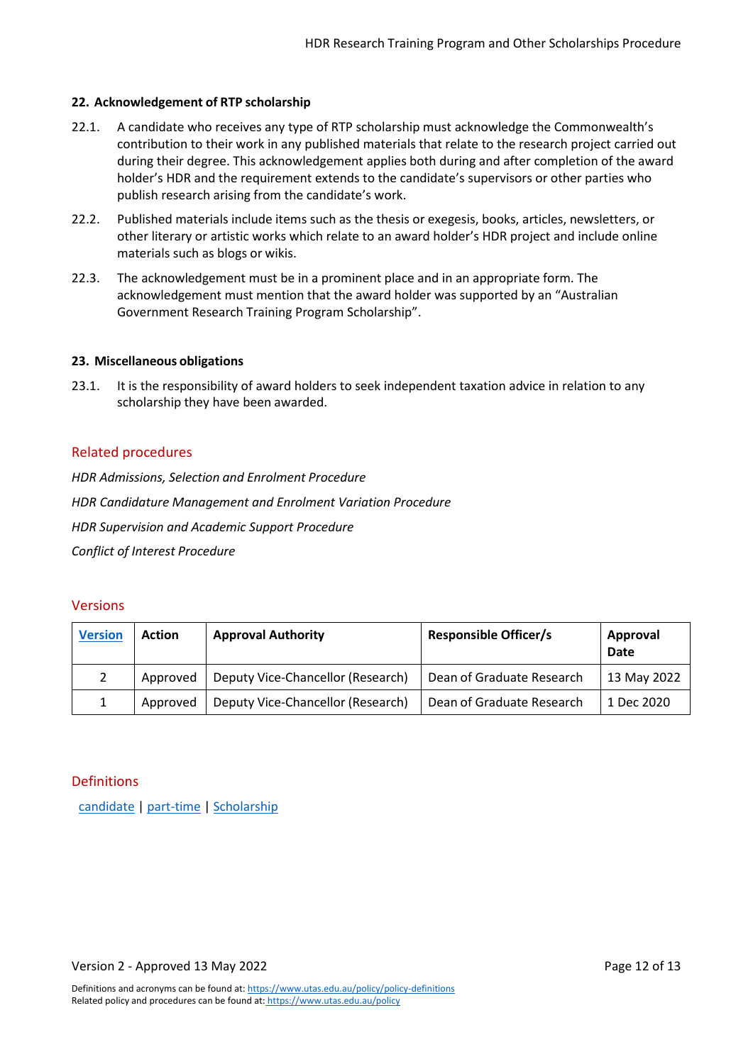## <span id="page-11-0"></span>**22. Acknowledgement of RTP scholarship**

- 22.1. A candidate who receives any type of RTP scholarship must acknowledge the Commonwealth's contribution to their work in any published materials that relate to the research project carried out during their degree. This acknowledgement applies both during and after completion of the award holder's HDR and the requirement extends to the candidate's supervisors or other parties who publish research arising from the candidate's work.
- 22.2. Published materials include items such as the thesis or exegesis, books, articles, newsletters, or other literary or artistic works which relate to an award holder's HDR project and include online materials such as blogs or wikis.
- 22.3. The acknowledgement must be in a prominent place and in an appropriate form. The acknowledgement must mention that the award holder was supported by an "Australian Government Research Training Program Scholarship".

#### <span id="page-11-1"></span>**23. Miscellaneous obligations**

23.1. It is the responsibility of award holders to seek independent taxation advice in relation to any scholarship they have been awarded.

## <span id="page-11-2"></span>Related procedures

*HDR Admissions, Selection and Enrolment Procedure HDR Candidature Management and Enrolment Variation Procedure HDR Supervision and Academic Support Procedure Conflict of Interest Procedure*

## <span id="page-11-3"></span>Versions

| <b>Version</b> | <b>Action</b> | <b>Approval Authority</b>         | <b>Responsible Officer/s</b> | Approval<br>Date |
|----------------|---------------|-----------------------------------|------------------------------|------------------|
|                | Approved      | Deputy Vice-Chancellor (Research) | Dean of Graduate Research    | 13 May 2022      |
|                | Approved      | Deputy Vice-Chancellor (Research) | Dean of Graduate Research    | 1 Dec 2020       |

#### <span id="page-11-4"></span>Definitions

[candidate](https://www.utas.edu.au/policy/policy-definitions/definitions/candidate) [| part-time](https://www.utas.edu.au/policy/policy-definitions/definitions/study-mode) [| Scholarship](https://www.utas.edu.au/policy/policy-definitions/definitions/scholarship)

Version 2 - Approved 13 May 2022 **Page 12 of 13** November 2012 of 13